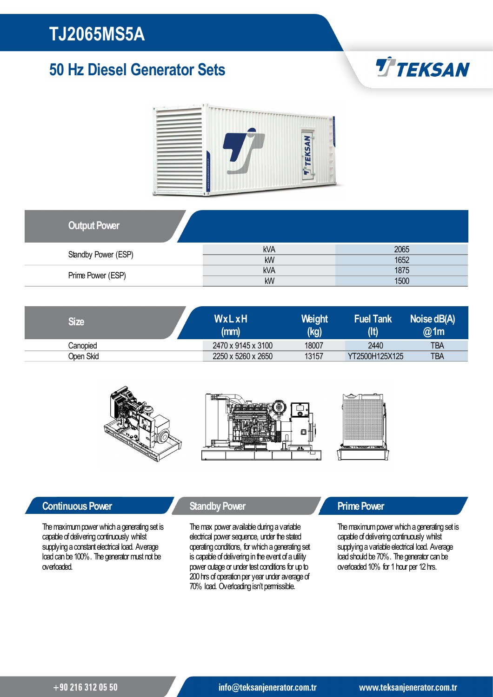### 50 Hz Diesel Generator Sets





| <b>Output Power</b> |            |      |
|---------------------|------------|------|
| Standby Power (ESP) | <b>kVA</b> | 2065 |
|                     | kW         | 1652 |
| Prime Power (ESP)   | <b>kVA</b> | 1875 |
|                     | kW         | 1500 |

| <b>Size</b> | WxLxH<br>(mm)      | <b>Weight</b><br>(kg) | <b>Fuel Tank</b> | Noise dB(A)<br>@1m |
|-------------|--------------------|-----------------------|------------------|--------------------|
| Canopied    | 2470 x 9145 x 3100 | 18007                 | 2440             | <b>TBA</b>         |
| Open Skid   | 2250 x 5260 x 2650 | 13157                 | YT2500H125X125   | <b>TBA</b>         |



### **Continuous Power Continuous Power Standby Power Continuous Power**

The maximum power which a generating set is capable of delivering continuously whilst supplying a constant electrical load. Average load can be 100%. The generator must not be overloaded.

The max power available during a variable electrical power sequence, under the stated operating conditions, for which a generating set is capable of delivering in the event of a utility power outage or under test conditions for up to 200 hrs of operation per year under average of 70% load. Overloadingisn't permissible.

The maximum power which a generating set is capable of delivering continuously whilst supplying a variable electrical load. Average load should be 70%. The generator can be overloaded 10% for 1 hour per 12 hrs.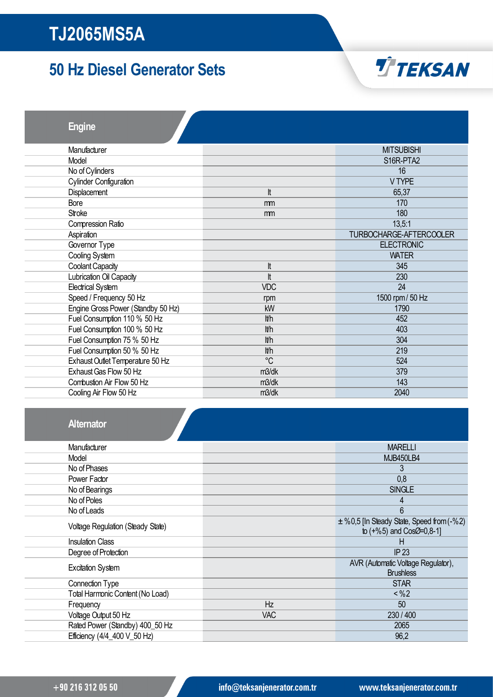### 50 Hz Diesel Generator Sets



Engine

| Manufacturer                       |             | <b>MITSUBISHI</b>       |
|------------------------------------|-------------|-------------------------|
| Model                              |             | S16R-PTA2               |
| No of Cylinders                    |             | 16                      |
| <b>Cylinder Configuration</b>      |             | V TYPE                  |
| Displacement                       | lt          | 65,37                   |
| Bore                               | mm          | 170                     |
| <b>Stroke</b>                      | mm          | 180                     |
| Compression Ratio                  |             | 13,5:1                  |
| Aspiration                         |             | TURBOCHARGE-AFTERCOOLER |
| Governor Type                      |             | <b>ELECTRONIC</b>       |
| Cooling System                     |             | <b>WATER</b>            |
| Coolant Capacity                   | lt          | 345                     |
| Lubrication Oil Capacity           | It          | 230                     |
| <b>Electrical System</b>           | <b>VDC</b>  | 24                      |
| Speed / Frequency 50 Hz            | rpm         | 1500 rpm / 50 Hz        |
| Engine Gross Power (Standby 50 Hz) | kW          | 1790                    |
| Fuel Consumption 110 % 50 Hz       | lt/h        | 452                     |
| Fuel Consumption 100 % 50 Hz       | lt/h        | 403                     |
| Fuel Consumption 75 % 50 Hz        | lt/h        | 304                     |
| Fuel Consumption 50 % 50 Hz        | lt/h        | 219                     |
| Exhaust Outlet Temperature 50 Hz   | $^{\circ}C$ | 524                     |
| Exhaust Gas Flow 50 Hz             | m3/dk       | 379                     |
| Combustion Air Flow 50 Hz          | m3/dk       | 143                     |
| Cooling Air Flow 50 Hz             | m3/dk       | 2040                    |
|                                    |             |                         |

| <b>Alternator</b> |
|-------------------|
|-------------------|

| Manufacturer                      |            | <b>MARELLI</b>                                                               |  |
|-----------------------------------|------------|------------------------------------------------------------------------------|--|
| Model                             |            | <b>MJB450LB4</b>                                                             |  |
| No of Phases                      |            | 3                                                                            |  |
| Power Factor                      |            | 0,8                                                                          |  |
| No of Bearings                    |            | <b>SINGLE</b>                                                                |  |
| No of Poles                       |            | 4                                                                            |  |
| No of Leads                       |            | 6                                                                            |  |
| Voltage Regulation (Steady State) |            | $\pm$ %0,5 [In Steady State, Speed from (-%2)<br>to $(+\%5)$ and CosØ=0,8-1] |  |
| <b>Insulation Class</b>           |            | Н                                                                            |  |
| Degree of Protection              |            | IP <sub>23</sub>                                                             |  |
| <b>Excitation System</b>          |            | AVR (Automatic Voltage Regulator),<br><b>Brushless</b>                       |  |
| Connection Type                   |            | <b>STAR</b>                                                                  |  |
| Total Harmonic Content (No Load)  |            | < %2                                                                         |  |
| Frequency                         | Hz         | 50                                                                           |  |
| Voltage Output 50 Hz              | <b>VAC</b> | 230 / 400                                                                    |  |
| Rated Power (Standby) 400_50 Hz   |            | 2065                                                                         |  |
| Efficiency (4/4_400 V_50 Hz)      |            | 96,2                                                                         |  |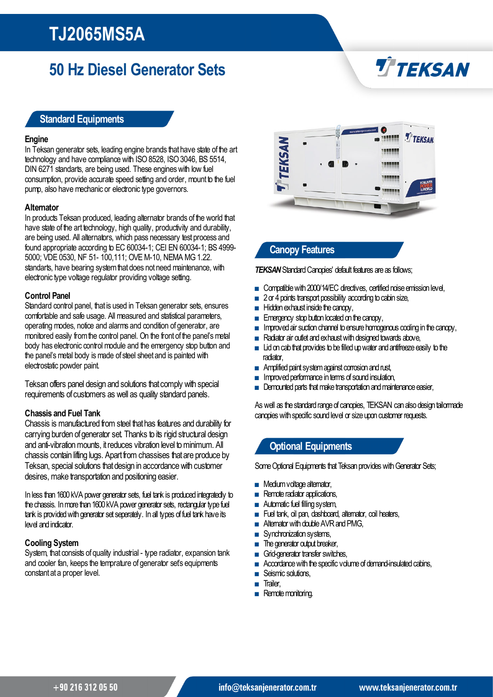### 50 Hz Diesel Generator Sets

# **TTEKSAN**

#### Standard Equipments

#### **Engine**

In Teksan generator sets, leading engine brands that have state of the art technology and have compliance with ISO 8528, ISO 3046, BS 5514, DIN 6271 standarts, are being used. These engines with low fuel consumption, provide accurate speed setting and order, mount to the fuel pump, also have mechanic or electronic type governors.

#### **Alternator**

In products Teksan produced, leading alternator brands of the world that have state of the art technology, high quality, productivity and durability, are being used. All alternators, which pass necessary test process and found appropriate according to EC 60034-1; CEI EN 60034-1; BS 4999- 5000; VDE 0530, NF 51- 100,111; OVE M-10, NEMA MG 1.22. standarts, have bearing system that does not need maintenance, with electronic type voltage regulator providing voltage setting.

#### Control Panel

Standard control panel, that is used in Teksan generator sets, ensures comfortable and safe usage. All measured and statistical parameters, operating modes, notice and alarms and condition of generator, are monitored easily from the control panel. On the front of the panel's metal body has electronic control module and the emergency stop button and the panel's metal body is made of steel sheet and is painted with electrostatic powder paint.

Teksan offers panel design and solutions that comply with special requirements of customers as well as quality standard panels.

#### Chassisand Fuel Tank

Chassis is manufactured from steel that has features and durability for carrying burden of generator set. Thanks to its rigid structural design and anti-vibration mounts, it reduces vibration level to minimum. All chassis contain lifting lugs. Apart from chassises that are produce by Teksan, special solutions that design in accordance with customer desires, make transportation and positioning easier.

In less than 1600 kVA power generator sets, fuel tank is produced integratedly to the chassis. In more than 1600 kVA power generator sets, rectangular type fuel tank is provided with generator set seperately. In all types of fuel tank have its level and indicator.

#### Cooling System

System, that consists of quality industrial - type radiator, expansion tank and cooler fan, keeps the temprature of generator set's equipments constant at a proper level.



#### Canopy Features

**TEKSAN** Standard Canopies' default features are as follows;

- Compatible with 2000/14/EC directives, certified noise emission level,
- 2 or 4 points transport possibility according to cabin size,
- Hidden exhaust inside the canopy,
- Emergency stop button located on the canopy,
- **■** Improved air suction channel to ensure homogenous cooling in the canopy,
- Radiator air outlet and exhaust with designed towards above,
- $\blacksquare$  Lid on cab that provides to be filled up water and antifreeze easily to the radiator,
- Amplified paint system against corrosion and rust,
- **■** Improved performance in terms of sound insulation,
- Demounted parts that make transportation and maintenance easier,

As well as the standard range of canopies, TEKSAN can also design tailormade canopies with specific sound level or size upon customer requests.

#### Optional Equipments

Some Optional Equipments that Teksan provides with Generator Sets;

- Medium voltage alternator,
- Remote radiator applications,
- Automatic fuel filling system,
- Fuel tank, oil pan, dashboard, alternator, coil heaters,
- Alternator with double AVR and PMG,
- Synchronization systems,
- The generator output breaker,
- Grid-generator transfer switches,
- Accordance with the specific volume of demand-insulated cabins,
- Seismic solutions,
- Trailer,
- Remote monitoring.